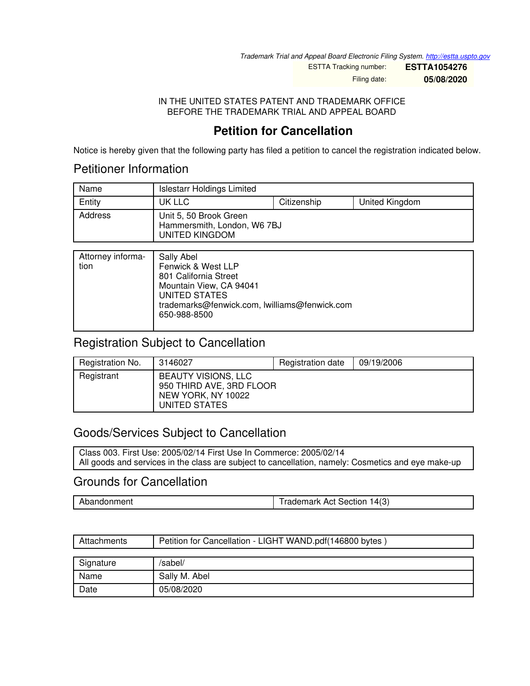*Trademark Trial and Appeal Board Electronic Filing System. <http://estta.uspto.gov>*

ESTTA Tracking number: **ESTTA1054276** Filing date: **05/08/2020**

IN THE UNITED STATES PATENT AND TRADEMARK OFFICE BEFORE THE TRADEMARK TRIAL AND APPEAL BOARD

# **Petition for Cancellation**

Notice is hereby given that the following party has filed a petition to cancel the registration indicated below.

# Petitioner Information

| Name    | <b>Islestarr Holdings Limited</b>                                       |             |                |
|---------|-------------------------------------------------------------------------|-------------|----------------|
| Entity  | UK LLC                                                                  | Citizenship | United Kingdom |
| Address | Unit 5, 50 Brook Green<br>Hammersmith, London, W6 7BJ<br>UNITED KINGDOM |             |                |

| Attorney informa-<br>tion | Sally Abel<br>Fenwick & West LLP<br>801 California Street<br>Mountain View, CA 94041 |
|---------------------------|--------------------------------------------------------------------------------------|
|                           | UNITED STATES<br>trademarks@fenwick.com, lwilliams@fenwick.com<br>650-988-8500       |

### Registration Subject to Cancellation

| Registration No. | 3146027                                                                                       | Registration date | 09/19/2006 |
|------------------|-----------------------------------------------------------------------------------------------|-------------------|------------|
| Registrant       | <b>BEAUTY VISIONS, LLC</b><br>950 THIRD AVE, 3RD FLOOR<br>NEW YORK, NY 10022<br>UNITED STATES |                   |            |

## Goods/Services Subject to Cancellation

Class 003. First Use: 2005/02/14 First Use In Commerce: 2005/02/14 All goods and services in the class are subject to cancellation, namely: Cosmetics and eye make-up

### Grounds for Cancellation

Abandonment **Trademark Act Section 14(3)** 

| Attachments | Petition for Cancellation - LIGHT WAND.pdf(146800 bytes) |  |
|-------------|----------------------------------------------------------|--|
|             |                                                          |  |
| Signature   | /sabel/                                                  |  |
| Name        | Sally M. Abel                                            |  |
| Date        | 05/08/2020                                               |  |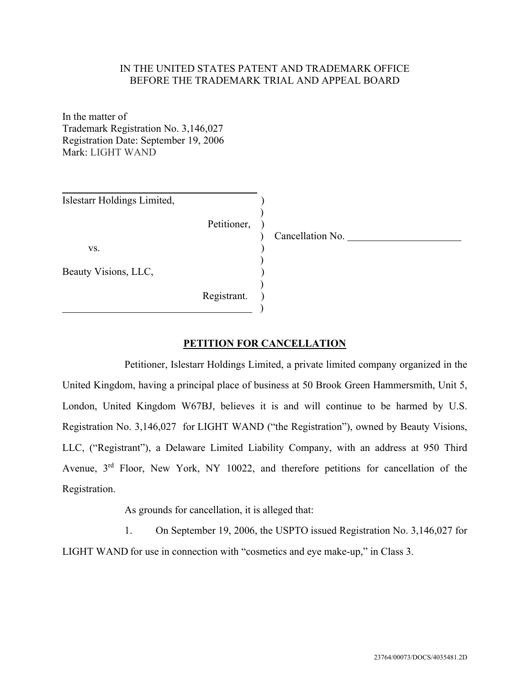#### IN THE UNITED STATES PATENT AND TRADEMARK OFFICE BEFORE THE TRADEMARK TRIAL AND APPEAL BOARD

In the matter of Trademark Registration No. 3,146,027 Registration Date: September 19, 2006 Mark: LIGHT WAND

| Islestarr Holdings Limited, |             |                  |
|-----------------------------|-------------|------------------|
|                             | Petitioner, | Cancellation No. |
| VS.                         |             |                  |
| Beauty Visions, LLC,        |             |                  |
|                             | Registrant. |                  |

#### **PETITION FOR CANCELLATION**

Petitioner, Islestarr Holdings Limited, a private limited company organized in the United Kingdom, having a principal place of business at 50 Brook Green Hammersmith, Unit 5, London, United Kingdom W67BJ, believes it is and will continue to be harmed by U.S. Registration No. 3,146,027 for LIGHT WAND ("the Registration"), owned by Beauty Visions, LLC, ("Registrant"), a Delaware Limited Liability Company, with an address at 950 Third Avenue, 3<sup>rd</sup> Floor, New York, NY 10022, and therefore petitions for cancellation of the Registration.

As grounds for cancellation, it is alleged that:

1. On September 19, 2006, the USPTO issued Registration No. 3,146,027 for LIGHT WAND for use in connection with "cosmetics and eye make-up," in Class 3.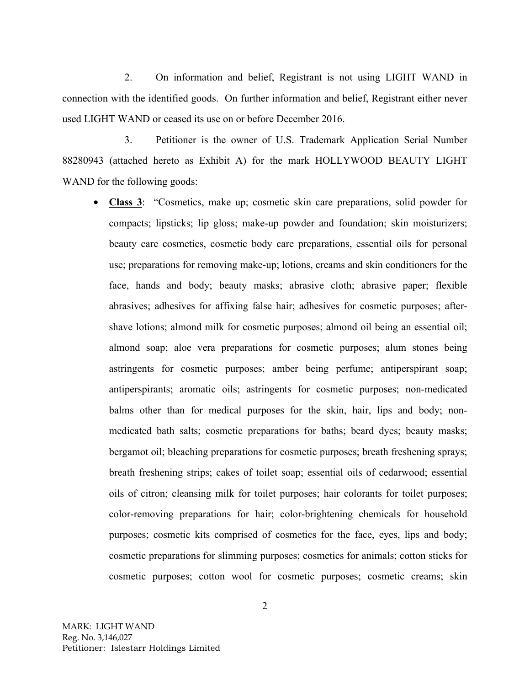2. On information and belief, Registrant is not using LIGHT WAND in connection with the identified goods. On further information and belief, Registrant either never used LIGHT WAND or ceased its use on or before December 2016.

3. Petitioner is the owner of U.S. Trademark Application Serial Number 88280943 (attached hereto as Exhibit A) for the mark HOLLYWOOD BEAUTY LIGHT WAND for the following goods:

• **Class 3**: "Cosmetics, make up; cosmetic skin care preparations, solid powder for compacts; lipsticks; lip gloss; make-up powder and foundation; skin moisturizers; beauty care cosmetics, cosmetic body care preparations, essential oils for personal use; preparations for removing make-up; lotions, creams and skin conditioners for the face, hands and body; beauty masks; abrasive cloth; abrasive paper; flexible abrasives; adhesives for affixing false hair; adhesives for cosmetic purposes; aftershave lotions; almond milk for cosmetic purposes; almond oil being an essential oil; almond soap; aloe vera preparations for cosmetic purposes; alum stones being astringents for cosmetic purposes; amber being perfume; antiperspirant soap; antiperspirants; aromatic oils; astringents for cosmetic purposes; non-medicated balms other than for medical purposes for the skin, hair, lips and body; nonmedicated bath salts; cosmetic preparations for baths; beard dyes; beauty masks; bergamot oil; bleaching preparations for cosmetic purposes; breath freshening sprays; breath freshening strips; cakes of toilet soap; essential oils of cedarwood; essential oils of citron; cleansing milk for toilet purposes; hair colorants for toilet purposes; color-removing preparations for hair; color-brightening chemicals for household purposes; cosmetic kits comprised of cosmetics for the face, eyes, lips and body; cosmetic preparations for slimming purposes; cosmetics for animals; cotton sticks for cosmetic purposes; cotton wool for cosmetic purposes; cosmetic creams; skin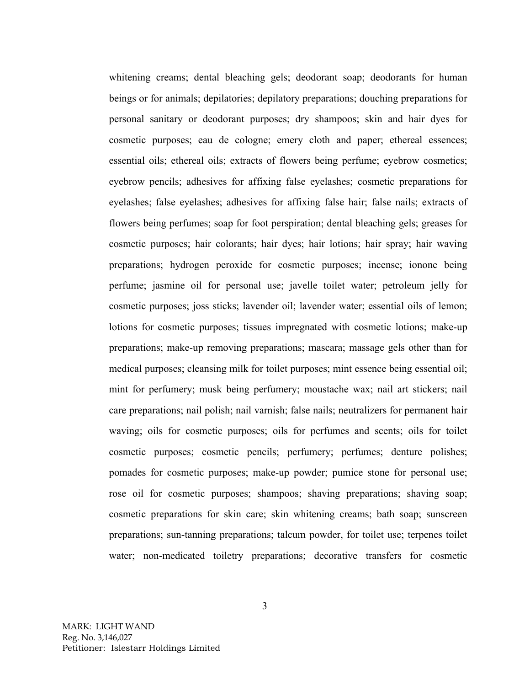whitening creams; dental bleaching gels; deodorant soap; deodorants for human beings or for animals; depilatories; depilatory preparations; douching preparations for personal sanitary or deodorant purposes; dry shampoos; skin and hair dyes for cosmetic purposes; eau de cologne; emery cloth and paper; ethereal essences; essential oils; ethereal oils; extracts of flowers being perfume; eyebrow cosmetics; eyebrow pencils; adhesives for affixing false eyelashes; cosmetic preparations for eyelashes; false eyelashes; adhesives for affixing false hair; false nails; extracts of flowers being perfumes; soap for foot perspiration; dental bleaching gels; greases for cosmetic purposes; hair colorants; hair dyes; hair lotions; hair spray; hair waving preparations; hydrogen peroxide for cosmetic purposes; incense; ionone being perfume; jasmine oil for personal use; javelle toilet water; petroleum jelly for cosmetic purposes; joss sticks; lavender oil; lavender water; essential oils of lemon; lotions for cosmetic purposes; tissues impregnated with cosmetic lotions; make-up preparations; make-up removing preparations; mascara; massage gels other than for medical purposes; cleansing milk for toilet purposes; mint essence being essential oil; mint for perfumery; musk being perfumery; moustache wax; nail art stickers; nail care preparations; nail polish; nail varnish; false nails; neutralizers for permanent hair waving; oils for cosmetic purposes; oils for perfumes and scents; oils for toilet cosmetic purposes; cosmetic pencils; perfumery; perfumes; denture polishes; pomades for cosmetic purposes; make-up powder; pumice stone for personal use; rose oil for cosmetic purposes; shampoos; shaving preparations; shaving soap; cosmetic preparations for skin care; skin whitening creams; bath soap; sunscreen preparations; sun-tanning preparations; talcum powder, for toilet use; terpenes toilet water; non-medicated toiletry preparations; decorative transfers for cosmetic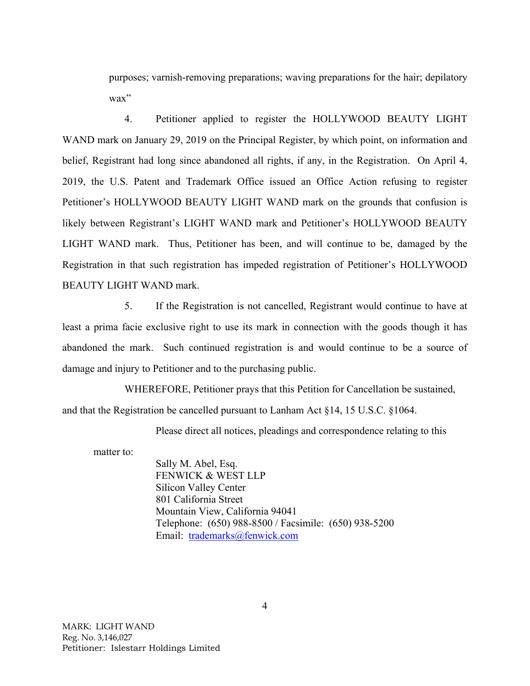purposes; varnish-removing preparations; waving preparations for the hair; depilatory wax"

4. Petitioner applied to register the HOLLYWOOD BEAUTY LIGHT WAND mark on January 29, 2019 on the Principal Register, by which point, on information and belief, Registrant had long since abandoned all rights, if any, in the Registration. On April 4, 2019, the U.S. Patent and Trademark Office issued an Office Action refusing to register Petitioner's HOLLYWOOD BEAUTY LIGHT WAND mark on the grounds that confusion is likely between Registrant's LIGHT WAND mark and Petitioner's HOLLYWOOD BEAUTY LIGHT WAND mark. Thus, Petitioner has been, and will continue to be, damaged by the Registration in that such registration has impeded registration of Petitioner's HOLLYWOOD BEAUTY LIGHT WAND mark.

5. If the Registration is not cancelled, Registrant would continue to have at least a prima facie exclusive right to use its mark in connection with the goods though it has abandoned the mark. Such continued registration is and would continue to be a source of damage and injury to Petitioner and to the purchasing public.

WHEREFORE, Petitioner prays that this Petition for Cancellation be sustained, and that the Registration be cancelled pursuant to Lanham Act §14, 15 U.S.C. §1064.

Please direct all notices, pleadings and correspondence relating to this

matter to:

Sally M. Abel, Esq. FENWICK & WEST LLP Silicon Valley Center 801 California Street Mountain View, California 94041 Telephone: (650) 988-8500 / Facsimile: (650) 938-5200 Email: trademarks@fenwick.com